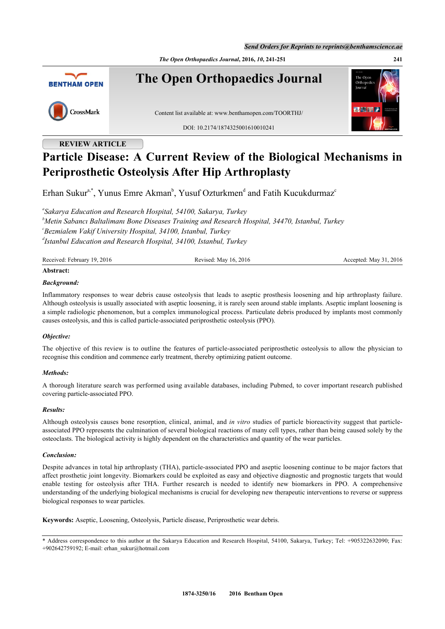*Send Orders for Reprints to reprints@benthamscience.ae*

*The Open Orthopaedics Journal***, 2016,** *10***, 241-251 241**



# **REVIEW ARTICLE**

# **Particle Disease: A Current Review of the Biological Mechanisms in Periprosthetic Osteolysis After Hip Arthroplasty**

Erhan Sukur<sup>[a,](#page-0-0)[\\*](#page-0-1)</sup>, Yunus Emre Akman<sup>[b](#page-0-2)</sup>, Yusuf Ozturkmen<sup>[d](#page-0-3)</sup> and Fatih Ku[c](#page-0-4)ukdurmaz<sup>c</sup>

<span id="page-0-4"></span><span id="page-0-2"></span><span id="page-0-0"></span>*a Sakarya Education and Research Hospital, 54100, Sakarya, Turkey <sup>b</sup>Metin Sabancı Baltalimanı Bone Diseases Training and Research Hospital, 34470, Istanbul, Turkey c Bezmialem Vakif University Hospital, 34100, Istanbul, Turkey d Istanbul Education and Research Hospital, 34100, Istanbul, Turkey*

<span id="page-0-3"></span>

| Received: February 19, 2016 | Revised: May 16, 2016 | Accepted: May 31, 2016 |
|-----------------------------|-----------------------|------------------------|
| Abstract:                   |                       |                        |

# *Background:*

Inflammatory responses to wear debris cause osteolysis that leads to aseptic prosthesis loosening and hip arthroplasty failure. Although osteolysis is usually associated with aseptic loosening, it is rarely seen around stable implants. Aseptic implant loosening is a simple radiologic phenomenon, but a complex immunological process. Particulate debris produced by implants most commonly causes osteolysis, and this is called particle-associated periprosthetic osteolysis (PPO).

# *Objective:*

The objective of this review is to outline the features of particle-associated periprosthetic osteolysis to allow the physician to recognise this condition and commence early treatment, thereby optimizing patient outcome.

# *Methods:*

A thorough literature search was performed using available databases, including Pubmed, to cover important research published covering particle-associated PPO.

# *Results:*

Although osteolysis causes bone resorption, clinical, animal, and *in vitro* studies of particle bioreactivity suggest that particleassociated PPO represents the culmination of several biological reactions of many cell types, rather than being caused solely by the osteoclasts. The biological activity is highly dependent on the characteristics and quantity of the wear particles.

# *Conclusion:*

Despite advances in total hip arthroplasty (THA), particle-associated PPO and aseptic loosening continue to be major factors that affect prosthetic joint longevity. Biomarkers could be exploited as easy and objective diagnostic and prognostic targets that would enable testing for osteolysis after THA. Further research is needed to identify new biomarkers in PPO. A comprehensive understanding of the underlying biological mechanisms is crucial for developing new therapeutic interventions to reverse or suppress biological responses to wear particles.

**Keywords:** Aseptic, Loosening, Osteolysis, Particle disease, Periprosthetic wear debris.

<span id="page-0-1"></span>\* Address correspondence to this author at the Sakarya Education and Research Hospital, 54100, Sakarya, Turkey; Tel: +905322632090; Fax: +902642759192; E-mail: [erhan\\_sukur@hotmail.com](mailto:erhan_sukur@hotmail.com)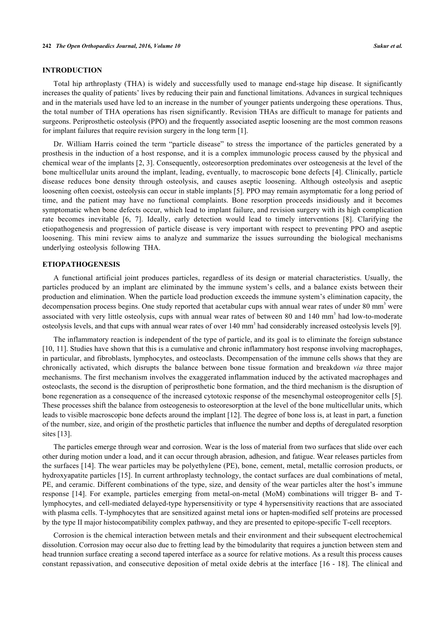# **INTRODUCTION**

Total hip arthroplasty (THA) is widely and successfully used to manage end-stage hip disease. It significantly increases the quality of patients' lives by reducing their pain and functional limitations. Advances in surgical techniques and in the materials used have led to an increase in the number of younger patients undergoing these operations. Thus, the total number of THA operations has risen significantly. Revision THAs are difficult to manage for patients and surgeons. Periprosthetic osteolysis (PPO) and the frequently associated aseptic loosening are the most common reasons for implant failures that require revision surgery in the long term [\[1](#page-7-0)].

Dr. William Harris coined the term "particle disease" to stress the importance of the particles generated by a prosthesis in the induction of a host response, and it is a complex immunologic process caused by the physical and chemical wear of the implants [[2,](#page-7-1) [3\]](#page-7-2). Consequently, osteoresorption predominates over osteogenesis at the level of the bone multicellular units around the implant, leading, eventually, to macroscopic bone defects [[4](#page-7-3)]. Clinically, particle disease reduces bone density through osteolysis, and causes aseptic loosening. Although osteolysis and aseptic loosening often coexist, osteolysis can occur in stable implants [\[5](#page-7-4)]. PPO may remain asymptomatic for a long period of time, and the patient may have no functional complaints. Bone resorption proceeds insidiously and it becomes symptomatic when bone defects occur, which lead to implant failure, and revision surgery with its high complication rate becomes inevitable[[6,](#page-7-5) [7\]](#page-7-6). Ideally, early detection would lead to timely interventions [\[8](#page-7-7)]. Clarifying the etiopathogenesis and progression of particle disease is very important with respect to preventing PPO and aseptic loosening. This mini review aims to analyze and summarize the issues surrounding the biological mechanisms underlying osteolysis following THA.

# **ETIOPATHOGENESIS**

A functional artificial joint produces particles, regardless of its design or material characteristics. Usually, the particles produced by an implant are eliminated by the immune system's cells, and a balance exists between their production and elimination. When the particle load production exceeds the immune system's elimination capacity, the decompensation process begins. One study reported that acetabular cups with annual wear rates of under 80 mm<sup>3</sup> were associated with very little osteolysis, cups with annual wear rates of between 80 and 140 mm<sup>3</sup> had low-to-moderate osteolysis levels, and that cups with annual wear rates of over 140 mm<sup>3</sup> had considerably increased osteolysis levels [\[9](#page-7-8)].

The inflammatory reaction is independent of the type of particle, and its goal is to eliminate the foreign substance [\[10](#page-7-9), [11](#page-7-10)]. Studies have shown that this is a cumulative and chronic inflammatory host response involving macrophages, in particular, and fibroblasts, lymphocytes, and osteoclasts. Decompensation of the immune cells shows that they are chronically activated, which disrupts the balance between bone tissue formation and breakdown *via* three major mechanisms. The first mechanism involves the exaggerated inflammation induced by the activated macrophages and osteoclasts, the second is the disruption of periprosthetic bone formation, and the third mechanism is the disruption of bone regeneration as a consequence of the increased cytotoxic response of the mesenchymal osteoprogenitor cells [[5\]](#page-7-4). These processes shift the balance from osteogenesis to osteoresorption at the level of the bone multicellular units, which leads to visible macroscopic bone defects around the implant [[12\]](#page-7-11). The degree of bone loss is, at least in part, a function of the number, size, and origin of the prosthetic particles that influence the number and depths of deregulated resorption sites [\[13](#page-7-12)].

The particles emerge through wear and corrosion. Wear is the loss of material from two surfaces that slide over each other during motion under a load, and it can occur through abrasion, adhesion, and fatigue. Wear releases particles from the surfaces [[14](#page-7-13)]. The wear particles may be polyethylene (PE), bone, cement, metal, metallic corrosion products, or hydroxyapatite particles [\[15](#page-8-0)]. In current arthroplasty technology, the contact surfaces are dual combinations of metal, PE, and ceramic. Different combinations of the type, size, and density of the wear particles alter the host's immune response[[14](#page-7-13)]. For example, particles emerging from metal-on-metal (MoM) combinations will trigger B- and Tlymphocytes, and cell-mediated delayed-type hypersensitivity or type 4 hypersensitivity reactions that are associated with plasma cells. T-lymphocytes that are sensitized against metal ions or hapten-modified self proteins are processed by the type II major histocompatibility complex pathway, and they are presented to epitope-specific T-cell receptors.

Corrosion is the chemical interaction between metals and their environment and their subsequent electrochemical dissolution. Corrosion may occur also due to fretting lead by the bimodularity that requires a junction between stem and head trunnion surface creating a second tapered interface as a source for relative motions. As a result this process causes constant repassivation, and consecutive deposition of metal oxide debris at the interface [\[16](#page-8-1) - [18\]](#page-8-2). The clinical and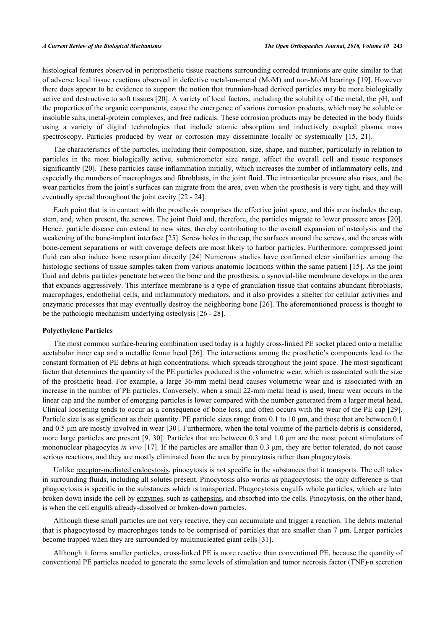histological features observed in periprosthetic tissue reactions surrounding corroded trunnions are quite similar to that of adverse local tissue reactions observed in defective metal-on-metal (MoM) and non-MoM bearings [\[19\]](#page-8-3). However there does appear to be evidence to support the notion that trunnion-head derived particles may be more biologically active and destructive to soft tissues [\[20](#page-8-4)]. A variety of local factors, including the solubility of the metal, the pH, and the properties of the organic components, cause the emergence of various corrosion products, which may be soluble or insoluble salts, metal-protein complexes, and free radicals. These corrosion products may be detected in the body fluids using a variety of digital technologies that include atomic absorption and inductively coupled plasma mass spectroscopy.Particles produced by wear or corrosion may disseminate locally or systemically [[15,](#page-8-0) [21\]](#page-8-5).

The characteristics of the particles, including their composition, size, shape, and number, particularly in relation to particles in the most biologically active, submicrometer size range, affect the overall cell and tissue responses significantly [\[20\]](#page-8-4). These particles cause inflammation initially, which increases the number of inflammatory cells, and especially the numbers of macrophages and fibroblasts, in the joint fluid. The intraarticular pressure also rises, and the wear particles from the joint's surfaces can migrate from the area, even when the prosthesis is very tight, and they will eventually spread throughout the joint cavity [[22](#page-8-6) - [24](#page-8-7)].

Each point that is in contact with the prosthesis comprises the effective joint space, and this area includes the cap, stem, and, when present, the screws. The joint fluid and, therefore, the particles migrate to lower pressure areas [\[20\]](#page-8-4). Hence, particle disease can extend to new sites, thereby contributing to the overall expansion of osteolysis and the weakening of the bone-implant interface [[25](#page-8-8)]. Screw holes in the cap, the surfaces around the screws, and the areas with bone-cement separations or with coverage defects are most likely to harbor particles. Furthermore, compressed joint fluid can also induce bone resorption directly [[24\]](#page-8-7) Numerous studies have confirmed clear similarities among the histologic sections of tissue samples taken from various anatomic locations within the same patient [\[15\]](#page-8-0). As the joint fluid and debris particles penetrate between the bone and the prosthesis, a synovial-like membrane develops in the area that expands aggressively. This interface membrane is a type of granulation tissue that contains abundant fibroblasts, macrophages, endothelial cells, and inflammatory mediators, and it also provides a shelter for cellular activities and enzymatic processes that may eventually destroy the neighboring bone [[26\]](#page-8-9). The aforementioned process is thought to be the pathologic mechanism underlying osteolysis [\[26](#page-8-9) - [28\]](#page-8-10).

# **Polyethylene Particles**

The most common surface-bearing combination used today is a highly cross-linked PE socket placed onto a metallic acetabular inner cap and a metallic femur head [[26](#page-8-9)]. The interactions among the prosthetic's components lead to the constant formation of PE debris at high concentrations, which spreads throughout the joint space. The most significant factor that determines the quantity of the PE particles produced is the volumetric wear, which is associated with the size of the prosthetic head. For example, a large 36-mm metal head causes volumetric wear and is associated with an increase in the number of PE particles. Conversely, when a small 22-mm metal head is used, linear wear occurs in the linear cap and the number of emerging particles is lower compared with the number generated from a larger metal head. Clinical loosening tends to occur as a consequence of bone loss, and often occurs with the wear of the PE cap [\[29\]](#page-8-11). Particle size is as significant as their quantity. PE particle sizes range from 0.1 to 10 μm, and those that are between 0.1 and 0.5 μm are mostly involved in wear [[30](#page-8-12)]. Furthermore, when the total volume of the particle debris is considered, more large particles are present [[9,](#page-7-8) [30\]](#page-8-12). Particles that are between 0.3 and 1.0 um are the most potent stimulators of mononuclear phagocytes *in vivo* [\[17\]](#page-8-13). If the particles are smaller than 0.3 μm, they are better tolerated, do not cause serious reactions, and they are mostly eliminated from the area by pinocytosis rather than phagocytosis.

Unlike receptor-mediated endocytosis, pinocytosis is not specific in the substances that it transports. The cell takes in surrounding fluids, including all solutes present. Pinocytosis also works as phagocytosis; the only difference is that phagocytosis is specific in the substances which is transported. Phagocytosis engulfs whole particles, which are later broken down inside the cell by enzymes, such as cathepsins, and absorbed into the cells. Pinocytosis, on the other hand, is when the cell engulfs already-dissolved or broken-down particles.

Although these small particles are not very reactive, they can accumulate and trigger a reaction. The debris material that is phagocytosed by macrophages tends to be comprised of particles that are smaller than 7 μm. Larger particles become trapped when they are surrounded by multinucleated giant cells [[31\]](#page-8-14).

Although it forms smaller particles, cross-linked PE is more reactive than conventional PE, because the quantity of conventional PE particles needed to generate the same levels of stimulation and tumor necrosis factor (TNF)-α secretion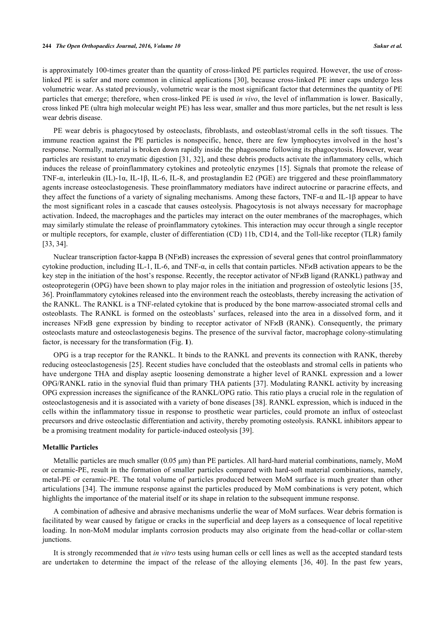is approximately 100-times greater than the quantity of cross-linked PE particles required. However, the use of crosslinked PE is safer and more common in clinical applications [[30\]](#page-8-12), because cross-linked PE inner caps undergo less volumetric wear. As stated previously, volumetric wear is the most significant factor that determines the quantity of PE particles that emerge; therefore, when cross-linked PE is used *in vivo*, the level of inflammation is lower. Basically, cross linked PE (ultra high molecular weight PE) has less wear, smaller and thus more particles, but the net result is less wear debris disease.

PE wear debris is phagocytosed by osteoclasts, fibroblasts, and osteoblast/stromal cells in the soft tissues. The immune reaction against the PE particles is nonspecific, hence, there are few lymphocytes involved in the host's response. Normally, material is broken down rapidly inside the phagosome following its phagocytosis. However, wear particles are resistant to enzymatic digestion [\[31](#page-8-14), [32\]](#page-8-15), and these debris products activate the inflammatory cells, which induces the release of proinflammatory cytokines and proteolytic enzymes [[15\]](#page-8-0). Signals that promote the release of TNF-α, interleukin (IL)-1α, IL-1β, IL-6, IL-8, and prostaglandin E2 (PGE) are triggered and these proinflammatory agents increase osteoclastogenesis. These proinflammatory mediators have indirect autocrine or paracrine effects, and they affect the functions of a variety of signaling mechanisms. Among these factors, TNF-α and IL-1β appear to have the most significant roles in a cascade that causes osteolysis. Phagocytosis is not always necessary for macrophage activation. Indeed, the macrophages and the particles may interact on the outer membranes of the macrophages, which may similarly stimulate the release of proinflammatory cytokines. This interaction may occur through a single receptor or multiple receptors, for example, cluster of differentiation (CD) 11b, CD14, and the Toll-like receptor (TLR) family [\[33](#page-8-16), [34](#page-8-17)].

Nuclear transcription factor-kappa B (NFϰB) increases the expression of several genes that control proinflammatory cytokine production, including IL-1, IL-6, and TNF- $\alpha$ , in cells that contain particles. NF $\alpha$ B activation appears to be the key step in the initiation of the host's response. Recently, the receptor activator of NF $\kappa$ B ligand (RANKL) pathway and osteoprotegerin (OPG) have been shown to play major roles in the initiation and progression of osteolytic lesions [[35](#page-8-18), [36\]](#page-9-0). Proinflammatory cytokines released into the environment reach the osteoblasts, thereby increasing the activation of the RANKL. The RANKL is a TNF-related cytokine that is produced by the bone marrow-associated stromal cells and osteoblasts. The RANKL is formed on the osteoblasts' surfaces, released into the area in a dissolved form, and it increases NF $\varkappa$ B gene expression by binding to receptor activator of NF $\varkappa$ B (RANK). Consequently, the primary osteoclasts mature and osteoclastogenesis begins. The presence of the survival factor, macrophage colony-stimulating factor, is necessary for the transformation (Fig. **[1](#page-4-0)**).

OPG is a trap receptor for the RANKL. It binds to the RANKL and prevents its connection with RANK, thereby reducing osteoclastogenesis [\[25](#page-8-8)]. Recent studies have concluded that the osteoblasts and stromal cells in patients who have undergone THA and display aseptic loosening demonstrate a higher level of RANKL expression and a lower OPG/RANKL ratio in the synovial fluid than primary THA patients [[37\]](#page-9-1). Modulating RANKL activity by increasing OPG expression increases the significance of the RANKL/OPG ratio. This ratio plays a crucial role in the regulation of osteoclastogenesis and it is associated with a variety of bone diseases [[38\]](#page-9-2). RANKL expression, which is induced in the cells within the inflammatory tissue in response to prosthetic wear particles, could promote an influx of osteoclast precursors and drive osteoclastic differentiation and activity, thereby promoting osteolysis. RANKL inhibitors appear to be a promising treatment modality for particle-induced osteolysis [[39\]](#page-9-3).

## **Metallic Particles**

Metallic particles are much smaller (0.05 μm) than PE particles. All hard-hard material combinations, namely, MoM or ceramic-PE, result in the formation of smaller particles compared with hard-soft material combinations, namely, metal-PE or ceramic-PE. The total volume of particles produced between MoM surface is much greater than other articulations [[34](#page-8-17)]. The immune response against the particles produced by MoM combinations is very potent, which highlights the importance of the material itself or its shape in relation to the subsequent immune response.

A combination of adhesive and abrasive mechanisms underlie the wear of MoM surfaces. Wear debris formation is facilitated by wear caused by fatigue or cracks in the superficial and deep layers as a consequence of local repetitive loading. In non-MoM modular implants corrosion products may also originate from the head-collar or collar-stem junctions.

It is strongly recommended that *in vitro* tests using human cells or cell lines as well as the accepted standard tests are undertaken to determine the impact of the release of the alloying elements[[36](#page-9-0), [40](#page-9-4)]. In the past few years,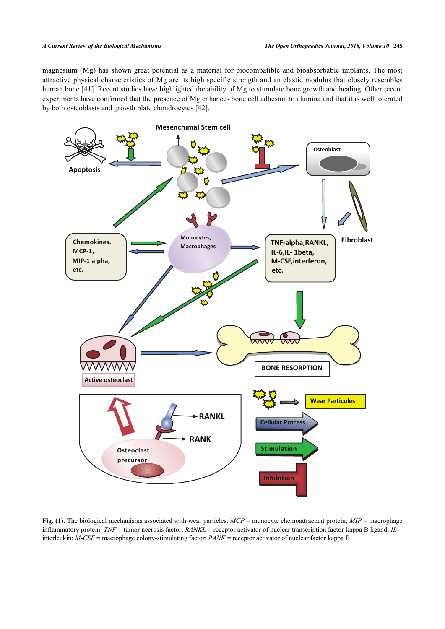magnesium (Mg) has shown great potential as a material for biocompatible and bioabsorbable implants. The most attractive physical characteristics of Mg are its high specific strength and an elastic modulus that closely resembles human bone [\[41](#page-9-5)]. Recent studies have highlighted the ability of Mg to stimulate bone growth and healing. Other recent experiments have confirmed that the presence of Mg enhances bone cell adhesion to alumina and that it is well tolerated by both osteoblasts and growth plate chondrocytes [[42\]](#page-9-6).

<span id="page-4-0"></span>

**Fig. (1).** The biological mechanisms associated with wear particles. *MCP* = monocyte chemoattractant protein; *MIP* = macrophage inflammatory protein; *TNF* = tumor necrosis factor; *RANKL* = receptor activator of nuclear transcription factor-kappa B ligand; *IL* = interleukin; *M-CSF* = macrophage colony-stimulating factor; *RANK* = receptor activator of nuclear factor kappa B.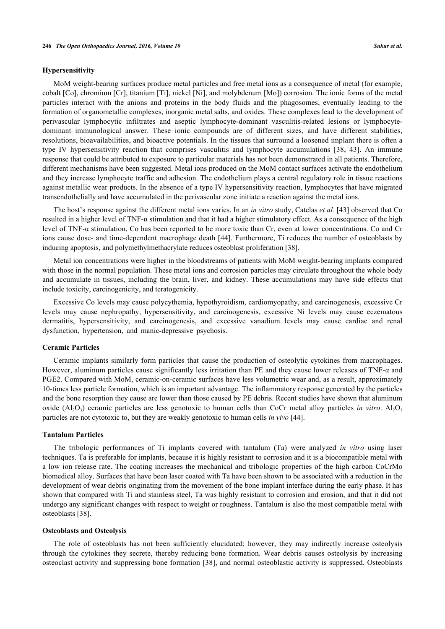# **Hypersensitivity**

MoM weight-bearing surfaces produce metal particles and free metal ions as a consequence of metal (for example, cobalt [Co], chromium [Cr], titanium [Ti], nickel [Ni], and molybdenum [Mo]) corrosion. The ionic forms of the metal particles interact with the anions and proteins in the body fluids and the phagosomes, eventually leading to the formation of organometallic complexes, inorganic metal salts, and oxides. These complexes lead to the development of perivascular lymphocytic infiltrates and aseptic lymphocyte-dominant vasculitis-related lesions or lymphocytedominant immunological answer. These ionic compounds are of different sizes, and have different stabilities, resolutions, bioavailabilities, and bioactive potentials. In the tissues that surround a loosened implant there is often a type IV hypersensitivity reaction that comprises vasculitis and lymphocyte accumulations [\[38](#page-9-2), [43\]](#page-9-7). An immune response that could be attributed to exposure to particular materials has not been demonstrated in all patients. Therefore, different mechanisms have been suggested. Metal ions produced on the MoM contact surfaces activate the endothelium and they increase lymphocyte traffic and adhesion. The endothelium plays a central regulatory role in tissue reactions against metallic wear products. In the absence of a type IV hypersensitivity reaction, lymphocytes that have migrated transendothelially and have accumulated in the perivascular zone initiate a reaction against the metal ions.

The host's response against the different metal ions varies. In an *in vitro* study, Catelas *et al.* [[43\]](#page-9-7) observed that Co resulted in a higher level of TNF-α stimulation and that it had a higher stimulatory effect. As a consequence of the high level of TNF-α stimulation, Co has been reported to be more toxic than Cr, even at lower concentrations. Co and Cr ions cause dose- and time-dependent macrophage death [\[44](#page-9-8)]. Furthermore, Ti reduces the number of osteoblasts by inducing apoptosis, and polymethylmethacrylate reduces osteoblast proliferation [[38\]](#page-9-2).

Metal ion concentrations were higher in the bloodstreams of patients with MoM weight-bearing implants compared with those in the normal population. These metal ions and corrosion particles may circulate throughout the whole body and accumulate in tissues, including the brain, liver, and kidney. These accumulations may have side effects that include toxicity, carcinogenicity, and teratogenicity.

Excessive Co levels may cause polycythemia, hypothyroidism, cardiomyopathy, and carcinogenesis, excessive Cr levels may cause nephropathy, hypersensitivity, and carcinogenesis, excessive Ni levels may cause eczematous dermatitis, hypersensitivity, and carcinogenesis, and excessive vanadium levels may cause cardiac and renal dysfunction, hypertension, and manic-depressive psychosis.

### **Ceramic Particles**

Ceramic implants similarly form particles that cause the production of osteolytic cytokines from macrophages. However, aluminum particles cause significantly less irritation than PE and they cause lower releases of TNF-α and PGE2. Compared with MoM, ceramic-on-ceramic surfaces have less volumetric wear and, as a result, approximately 10-times less particle formation, which is an important advantage. The inflammatory response generated by the particles and the bone resorption they cause are lower than those caused by PE debris. Recent studies have shown that aluminum oxide  $(Al_2O_3)$  ceramic particles are less genotoxic to human cells than CoCr metal alloy particles *in vitro*.  $Al_2O_3$ particles are not cytotoxic to, but they are weakly genotoxic to human cells *in vivo* [\[44](#page-9-8)].

## **Tantalum Particles**

The tribologic performances of Ti implants covered with tantalum (Ta) were analyzed *in vitro* using laser techniques. Ta is preferable for implants, because it is highly resistant to corrosion and it is a biocompatible metal with a low ion release rate. The coating increases the mechanical and tribologic properties of the high carbon CoCrMo biomedical alloy. Surfaces that have been laser coated with Ta have been shown to be associated with a reduction in the development of wear debris originating from the movement of the bone implant interface during the early phase. It has shown that compared with Ti and stainless steel, Ta was highly resistant to corrosion and erosion, and that it did not undergo any significant changes with respect to weight or roughness. Tantalum is also the most compatible metal with osteoblasts [\[38](#page-9-2)].

# **Osteoblasts and Osteolysis**

The role of osteoblasts has not been sufficiently elucidated; however, they may indirectly increase osteolysis through the cytokines they secrete, thereby reducing bone formation. Wear debris causes osteolysis by increasing osteoclast activity and suppressing bone formation [[38\]](#page-9-2), and normal osteoblastic activity is suppressed. Osteoblasts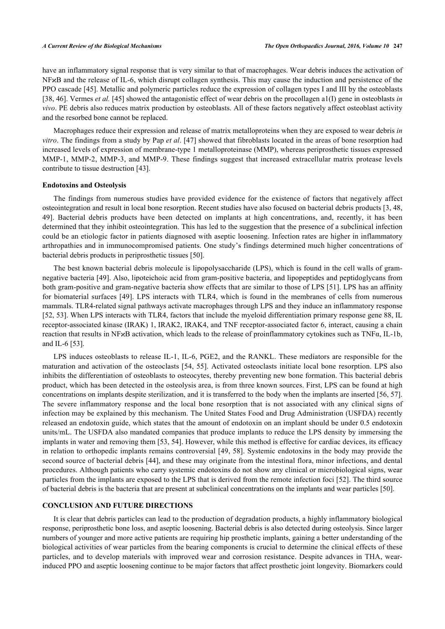have an inflammatory signal response that is very similar to that of macrophages. Wear debris induces the activation of NF<sub>X</sub>B and the release of IL-6, which disrupt collagen synthesis. This may cause the induction and persistence of the PPO cascade [\[45](#page-9-9)]. Metallic and polymeric particles reduce the expression of collagen types I and III by the osteoblasts [\[38](#page-9-2), [46](#page-9-10)]. Vermes *et al.* [\[45](#page-9-9)] showed the antagonistic effect of wear debris on the procollagen a1(I) gene in osteoblasts *in vivo*. PE debris also reduces matrix production by osteoblasts. All of these factors negatively affect osteoblast activity and the resorbed bone cannot be replaced.

Macrophages reduce their expression and release of matrix metalloproteins when they are exposed to wear debris *in vitro*. The findings from a study by Pap *et al*. [\[47](#page-9-11)] showed that fibroblasts located in the areas of bone resorption had increased levels of expression of membrane-type 1 metalloproteinase (MMP), whereas periprosthetic tissues expressed MMP-1, MMP-2, MMP-3, and MMP-9. These findings suggest that increased extracellular matrix protease levels contribute to tissue destruction [[43\]](#page-9-7).

## **Endotoxins and Osteolysis**

The findings from numerous studies have provided evidence for the existence of factors that negatively affect osteointegration and result in local bone resorption. Recent studies have also focused on bacterial debris products [\[3](#page-7-2), [48](#page-9-12), [49\]](#page-9-13). Bacterial debris products have been detected on implants at high concentrations, and, recently, it has been determined that they inhibit osteointegration. This has led to the suggestion that the presence of a subclinical infection could be an etiologic factor in patients diagnosed with aseptic loosening. Infection rates are higher in inflammatory arthropathies and in immunocompromised patients. One study's findings determined much higher concentrations of bacterial debris products in periprosthetic tissues [[50\]](#page-9-14).

The best known bacterial debris molecule is lipopolysaccharide (LPS), which is found in the cell walls of gramnegative bacteria [[49\]](#page-9-13). Also, lipoteichoic acid from gram-positive bacteria, and lipopeptides and peptidoglycans from both gram-positive and gram-negative bacteria show effects that are similar to those of LPS [\[51\]](#page-9-15). LPS has an affinity for biomaterial surfaces [\[49](#page-9-13)]. LPS interacts with TLR4, which is found in the membranes of cells from numerous mammals. TLR4-related signal pathways activate macrophages through LPS and they induce an inflammatory response [\[52](#page-9-16), [53](#page-9-17)]. When LPS interacts with TLR4, factors that include the myeloid differentiation primary response gene 88, IL receptor-associated kinase (IRAK) 1, IRAK2, IRAK4, and TNF receptor-associated factor 6, interact, causing a chain reaction that results in NFϰB activation, which leads to the release of proinflammatory cytokines such as TNFα, IL-1b, and IL-6 [\[53](#page-9-17)].

LPS induces osteoblasts to release IL-1, IL-6, PGE2, and the RANKL. These mediators are responsible for the maturation and activation of the osteoclasts [[54,](#page-9-18) [55](#page-9-19)]. Activated osteoclasts initiate local bone resorption. LPS also inhibits the differentiation of osteoblasts to osteocytes, thereby preventing new bone formation. This bacterial debris product, which has been detected in the osteolysis area, is from three known sources. First, LPS can be found at high concentrations on implants despite sterilization, and it is transferred to the body when the implants are inserted [[56,](#page-10-0) [57\]](#page-10-1). The severe inflammatory response and the local bone resorption that is not associated with any clinical signs of infection may be explained by this mechanism. The United States Food and Drug Administration (USFDA) recently released an endotoxin guide, which states that the amount of endotoxin on an implant should be under 0.5 endotoxin units/mL. The USFDA also mandated companies that produce implants to reduce the LPS density by immersing the implants in water and removing them [\[53](#page-9-17), [54](#page-9-18)]. However, while this method is effective for cardiac devices, its efficacy in relation to orthopedic implants remains controversial [\[49,](#page-9-13) [58\]](#page-10-2). Systemic endotoxins in the body may provide the second source of bacterial debris [[44\]](#page-9-8), and these may originate from the intestinal flora, minor infections, and dental procedures. Although patients who carry systemic endotoxins do not show any clinical or microbiological signs, wear particles from the implants are exposed to the LPS that is derived from the remote infection foci [\[52\]](#page-9-16). The third source of bacterial debris is the bacteria that are present at subclinical concentrations on the implants and wear particles [\[50](#page-9-14)].

# **CONCLUSION AND FUTURE DIRECTIONS**

It is clear that debris particles can lead to the production of degradation products, a highly inflammatory biological response, periprosthetic bone loss, and aseptic loosening. Bacterial debris is also detected during osteolysis. Since larger numbers of younger and more active patients are requiring hip prosthetic implants, gaining a better understanding of the biological activities of wear particles from the bearing components is crucial to determine the clinical effects of these particles, and to develop materials with improved wear and corrosion resistance. Despite advances in THA, wearinduced PPO and aseptic loosening continue to be major factors that affect prosthetic joint longevity. Biomarkers could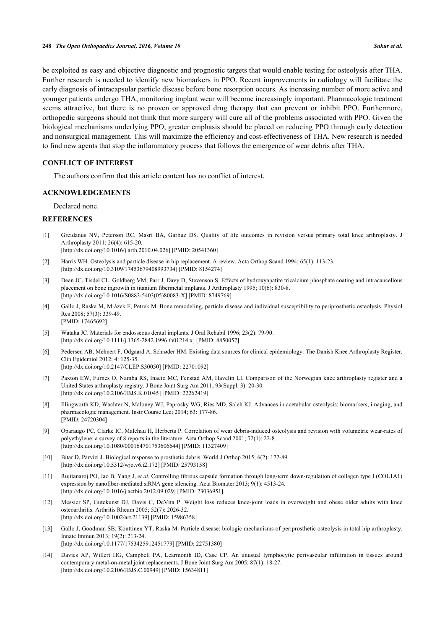be exploited as easy and objective diagnostic and prognostic targets that would enable testing for osteolysis after THA. Further research is needed to identify new biomarkers in PPO. Recent improvements in radiology will facilitate the early diagnosis of intracapsular particle disease before bone resorption occurs. As increasing number of more active and younger patients undergo THA, monitoring implant wear will become increasingly important. Pharmacologic treatment seems attractive, but there is no proven or approved drug therapy that can prevent or inhibit PPO. Furthermore, orthopedic surgeons should not think that more surgery will cure all of the problems associated with PPO. Given the biological mechanisms underlying PPO, greater emphasis should be placed on reducing PPO through early detection and nonsurgical management. This will maximize the efficiency and cost-effectiveness of THA. New research is needed to find new agents that stop the inflammatory process that follows the emergence of wear debris after THA.

# **CONFLICT OF INTEREST**

The authors confirm that this article content has no conflict of interest.

# **ACKNOWLEDGEMENTS**

Declared none.

# **REFERENCES**

- <span id="page-7-0"></span>[1] Greidanus NV, Peterson RC, Masri BA, Garbuz DS. Quality of life outcomes in revision versus primary total knee arthroplasty. J Arthroplasty 2011; 26(4): 615-20. [\[http://dx.doi.org/10.1016/j.arth.2010.04.026](http://dx.doi.org/10.1016/j.arth.2010.04.026)] [PMID: [20541360](http://www.ncbi.nlm.nih.gov/pubmed/20541360)]
- <span id="page-7-1"></span>[2] Harris WH. Osteolysis and particle disease in hip replacement. A review. Acta Orthop Scand 1994; 65(1): 113-23. [\[http://dx.doi.org/10.3109/17453679408993734\]](http://dx.doi.org/10.3109/17453679408993734) [PMID: [8154274](http://www.ncbi.nlm.nih.gov/pubmed/8154274)]
- <span id="page-7-2"></span>[3] Dean JC, Tisdel CL, Goldberg VM, Parr J, Davy D, Stevenson S. Effects of hydroxyapatite tricalcium phosphate coating and intracancellous placement on bone ingrowth in titanium fibermetal implants. J Arthroplasty 1995; 10(6): 830-8. [\[http://dx.doi.org/10.1016/S0883-5403\(05\)80083-X\]](http://dx.doi.org/10.1016/S0883-5403(05)80083-X) [PMID: [8749769](http://www.ncbi.nlm.nih.gov/pubmed/8749769)]
- <span id="page-7-3"></span>[4] Gallo J, Raska M, Mrázek F, Petrek M. Bone remodeling, particle disease and individual susceptibility to periprosthetic osteolysis. Physiol Res 2008; 57(3): 339-49. [PMID: [17465692\]](http://www.ncbi.nlm.nih.gov/pubmed/17465692)
- <span id="page-7-4"></span>[5] Wataha JC. Materials for endosseous dental implants. J Oral Rehabil 1996; 23(2): 79-90. [\[http://dx.doi.org/10.1111/j.1365-2842.1996.tb01214.x\]](http://dx.doi.org/10.1111/j.1365-2842.1996.tb01214.x) [PMID: [8850057](http://www.ncbi.nlm.nih.gov/pubmed/8850057)]
- <span id="page-7-5"></span>[6] Pedersen AB, Mehnert F, Odgaard A, Schrøder HM. Existing data sources for clinical epidemiology: The Danish Knee Arthroplasty Register. Clin Epidemiol 2012; 4: 125-35. [\[http://dx.doi.org/10.2147/CLEP.S30050\]](http://dx.doi.org/10.2147/CLEP.S30050) [PMID: [22701092](http://www.ncbi.nlm.nih.gov/pubmed/22701092)]
- <span id="page-7-6"></span>[7] Paxton EW, Furnes O, Namba RS, Inacio MC, Fenstad AM, Havelin LI. Comparison of the Norwegian knee arthroplasty register and a United States arthroplasty registry. J Bone Joint Surg Am 2011; 93(Suppl. 3): 20-30. [\[http://dx.doi.org/10.2106/JBJS.K.01045\]](http://dx.doi.org/10.2106/JBJS.K.01045) [PMID: [22262419](http://www.ncbi.nlm.nih.gov/pubmed/22262419)]
- <span id="page-7-7"></span>[8] Illingworth KD, Wachter N, Maloney WJ, Paprosky WG, Ries MD, Saleh KJ. Advances in acetabular osteolysis: biomarkers, imaging, and pharmacologic management. Instr Course Lect 2014; 63: 177-86. [PMID: [24720304\]](http://www.ncbi.nlm.nih.gov/pubmed/24720304)
- <span id="page-7-8"></span>[9] Oparaugo PC, Clarke IC, Malchau H, Herberts P. Correlation of wear debris-induced osteolysis and revision with volumetric wear-rates of polyethylene: a survey of 8 reports in the literature. Acta Orthop Scand 2001; 72(1): 22-8. [\[http://dx.doi.org/10.1080/000164701753606644\]](http://dx.doi.org/10.1080/000164701753606644) [PMID: [11327409](http://www.ncbi.nlm.nih.gov/pubmed/11327409)]
- <span id="page-7-9"></span>[10] Bitar D, Parvizi J. Biological response to prosthetic debris. World J Orthop 2015; 6(2): 172-89. [\[http://dx.doi.org/10.5312/wjo.v6.i2.172](http://dx.doi.org/10.5312/wjo.v6.i2.172)] [PMID: [25793158\]](http://www.ncbi.nlm.nih.gov/pubmed/25793158)
- <span id="page-7-10"></span>[11] Rujitanaroj PO, Jao B, Yang J, *et al.* Controlling fibrous capsule formation through long-term down-regulation of collagen type I (COL1A1) expression by nanofiber-mediated siRNA gene silencing. Acta Biomater 2013; 9(1): 4513-24. [\[http://dx.doi.org/10.1016/j.actbio.2012.09.029\]](http://dx.doi.org/10.1016/j.actbio.2012.09.029) [PMID: [23036951](http://www.ncbi.nlm.nih.gov/pubmed/23036951)]
- <span id="page-7-11"></span>[12] Messier SP, Gutekunst DJ, Davis C, DeVita P. Weight loss reduces knee-joint loads in overweight and obese older adults with knee osteoarthritis. Arthritis Rheum 2005; 52(7): 2026-32. [\[http://dx.doi.org/10.1002/art.21139](http://dx.doi.org/10.1002/art.21139)] [PMID: [15986358\]](http://www.ncbi.nlm.nih.gov/pubmed/15986358)
- <span id="page-7-12"></span>[13] Gallo J, Goodman SB, Konttinen YT, Raska M. Particle disease: biologic mechanisms of periprosthetic osteolysis in total hip arthroplasty. Innate Immun 2013; 19(2): 213-24. [\[http://dx.doi.org/10.1177/1753425912451779\]](http://dx.doi.org/10.1177/1753425912451779) [PMID: [22751380](http://www.ncbi.nlm.nih.gov/pubmed/22751380)]
- <span id="page-7-13"></span>[14] Davies AP, Willert HG, Campbell PA, Learmonth ID, Case CP. An unusual lymphocytic perivascular infiltration in tissues around contemporary metal-on-metal joint replacements. J Bone Joint Surg Am 2005; 87(1): 18-27. [\[http://dx.doi.org/10.2106/JBJS.C.00949](http://dx.doi.org/10.2106/JBJS.C.00949)] [PMID: [15634811\]](http://www.ncbi.nlm.nih.gov/pubmed/15634811)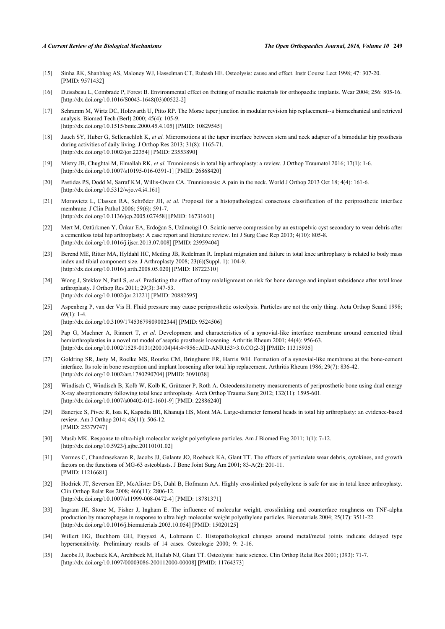- <span id="page-8-0"></span>[15] Sinha RK, Shanbhag AS, Maloney WJ, Hasselman CT, Rubash HE. Osteolysis: cause and effect. Instr Course Lect 1998; 47: 307-20. [PMID: [9571432\]](http://www.ncbi.nlm.nih.gov/pubmed/9571432)
- <span id="page-8-1"></span>[16] Duisabeau L, Combrade P, Forest B. Environmental effect on fretting of metallic materials for orthopaedic implants. Wear 2004; 256: 805-16. [\[http://dx.doi.org/10.1016/S0043-1648\(03\)00522-2\]](http://dx.doi.org/10.1016/S0043-1648(03)00522-2)
- <span id="page-8-13"></span>[17] Schramm M, Wirtz DC, Holzwarth U, Pitto RP. The Morse taper junction in modular revision hip replacement--a biomechanical and retrieval analysis. Biomed Tech (Berl) 2000; 45(4): 105-9. [\[http://dx.doi.org/10.1515/bmte.2000.45.4.105\]](http://dx.doi.org/10.1515/bmte.2000.45.4.105) [PMID: [10829545](http://www.ncbi.nlm.nih.gov/pubmed/10829545)]
- <span id="page-8-2"></span>[18] Jauch SY, Huber G, Sellenschloh K, *et al.* Micromotions at the taper interface between stem and neck adapter of a bimodular hip prosthesis during activities of daily living. J Orthop Res 2013; 31(8): 1165-71. [\[http://dx.doi.org/10.1002/jor.22354\]](http://dx.doi.org/10.1002/jor.22354) [PMID: [23553890](http://www.ncbi.nlm.nih.gov/pubmed/23553890)]
- <span id="page-8-3"></span>[19] Mistry JB, Chughtai M, Elmallah RK, *et al.* Trunnionosis in total hip arthroplasty: a review. J Orthop Traumatol 2016; 17(1): 1-6. [\[http://dx.doi.org/10.1007/s10195-016-0391-1\]](http://dx.doi.org/10.1007/s10195-016-0391-1) [PMID: [26868420](http://www.ncbi.nlm.nih.gov/pubmed/26868420)]
- <span id="page-8-4"></span>[20] Pastides PS, Dodd M, Sarraf KM, Willis-Owen CA. Trunnionosis: A pain in the neck. World J Orthop 2013 Oct 18; 4(4): 161-6. [\[http://dx.doi.org/10.5312/wjo.v4.i4.161](http://dx.doi.org/10.5312/wjo.v4.i4.161)]
- <span id="page-8-5"></span>[21] Morawietz L, Classen RA, Schröder JH, *et al.* Proposal for a histopathological consensus classification of the periprosthetic interface membrane. J Clin Pathol 2006; 59(6): 591-7. [\[http://dx.doi.org/10.1136/jcp.2005.027458\]](http://dx.doi.org/10.1136/jcp.2005.027458) [PMID: [16731601](http://www.ncbi.nlm.nih.gov/pubmed/16731601)]
- <span id="page-8-6"></span>[22] Mert M, Oztürkmen Y, Ünkar EA, Erdoğan S, Uzümcügil O. Sciatic nerve compression by an extrapelvic cyst secondary to wear debris after a cementless total hip arthroplasty: A case report and literature review. Int J Surg Case Rep 2013; 4(10): 805-8. [\[http://dx.doi.org/10.1016/j.ijscr.2013.07.008\]](http://dx.doi.org/10.1016/j.ijscr.2013.07.008) [PMID: [23959404](http://www.ncbi.nlm.nih.gov/pubmed/23959404)]
- [23] Berend ME, Ritter MA, Hyldahl HC, Meding JB, Redelman R. Implant migration and failure in total knee arthroplasty is related to body mass index and tibial component size. J Arthroplasty 2008; 23(6)(Suppl. 1): 104-9. [\[http://dx.doi.org/10.1016/j.arth.2008.05.020](http://dx.doi.org/10.1016/j.arth.2008.05.020)] [PMID: [18722310](http://www.ncbi.nlm.nih.gov/pubmed/18722310)]
- <span id="page-8-7"></span>[24] Wong J, Steklov N, Patil S, *et al.* Predicting the effect of tray malalignment on risk for bone damage and implant subsidence after total knee arthroplasty. J Orthop Res 2011; 29(3): 347-53. [\[http://dx.doi.org/10.1002/jor.21221\]](http://dx.doi.org/10.1002/jor.21221) [PMID: [20882595](http://www.ncbi.nlm.nih.gov/pubmed/20882595)]
- <span id="page-8-8"></span>[25] Aspenberg P, van der Vis H. Fluid pressure may cause periprosthetic osteolysis. Particles are not the only thing. Acta Orthop Scand 1998; 69(1): 1-4. [\[http://dx.doi.org/10.3109/17453679809002344\]](http://dx.doi.org/10.3109/17453679809002344) [PMID: [9524506](http://www.ncbi.nlm.nih.gov/pubmed/9524506)]
- <span id="page-8-9"></span>[26] Pap G, Machner A, Rinnert T, *et al.* Development and characteristics of a synovial-like interface membrane around cemented tibial hemiarthroplasties in a novel rat model of aseptic prosthesis loosening. Arthritis Rheum 2001; 44(4): 956-63. [\[http://dx.doi.org/10.1002/1529-0131\(200104\)44:4<956::AID-ANR153>3.0.CO;2-3](http://dx.doi.org/10.1002/1529-0131(200104)44:4<956::AID-ANR153>3.0.CO;2-3)] [PMID: [11315935\]](http://www.ncbi.nlm.nih.gov/pubmed/11315935)
- [27] Goldring SR, Jasty M, Roelke MS, Rourke CM, Bringhurst FR, Harris WH. Formation of a synovial-like membrane at the bone-cement interface. Its role in bone resorption and implant loosening after total hip replacement. Arthritis Rheum 1986; 29(7): 836-42. [\[http://dx.doi.org/10.1002/art.1780290704](http://dx.doi.org/10.1002/art.1780290704)] [PMID: [3091038\]](http://www.ncbi.nlm.nih.gov/pubmed/3091038)
- <span id="page-8-10"></span>[28] Windisch C, Windisch B, Kolb W, Kolb K, Grützner P, Roth A. Osteodensitometry measurements of periprosthetic bone using dual energy X-ray absorptiometry following total knee arthroplasty. Arch Orthop Trauma Surg 2012; 132(11): 1595-601. [\[http://dx.doi.org/10.1007/s00402-012-1601-9\]](http://dx.doi.org/10.1007/s00402-012-1601-9) [PMID: [22886240](http://www.ncbi.nlm.nih.gov/pubmed/22886240)]
- <span id="page-8-11"></span>[29] Banerjee S, Pivec R, Issa K, Kapadia BH, Khanuja HS, Mont MA. Large-diameter femoral heads in total hip arthroplasty: an evidence-based review. Am J Orthop 2014; 43(11): 506-12. [PMID: [25379747\]](http://www.ncbi.nlm.nih.gov/pubmed/25379747)
- <span id="page-8-12"></span>[30] Musib MK. Response to ultra-high molecular weight polyethylene particles. Am J Biomed Eng 2011; 1(1): 7-12. [\[http://dx.doi.org/10.5923/j.ajbe.20110101.02](http://dx.doi.org/10.5923/j.ajbe.20110101.02)]
- <span id="page-8-14"></span>[31] Vermes C, Chandrasekaran R, Jacobs JJ, Galante JO, Roebuck KA, Glant TT. The effects of particulate wear debris, cytokines, and growth factors on the functions of MG-63 osteoblasts. J Bone Joint Surg Am 2001; 83-A(2): 201-11. [PMID: [11216681\]](http://www.ncbi.nlm.nih.gov/pubmed/11216681)
- <span id="page-8-15"></span>[32] Hodrick JT, Severson EP, McAlister DS, Dahl B, Hofmann AA. Highly crosslinked polyethylene is safe for use in total knee arthroplasty. Clin Orthop Relat Res 2008; 466(11): 2806-12. [\[http://dx.doi.org/10.1007/s11999-008-0472-4\]](http://dx.doi.org/10.1007/s11999-008-0472-4) [PMID: [18781371](http://www.ncbi.nlm.nih.gov/pubmed/18781371)]
- <span id="page-8-16"></span>[33] Ingram JH, Stone M, Fisher J, Ingham E. The influence of molecular weight, crosslinking and counterface roughness on TNF-alpha production by macrophages in response to ultra high molecular weight polyethylene particles. Biomaterials 2004; 25(17): 3511-22. [\[http://dx.doi.org/10.1016/j.biomaterials.2003.10.054\]](http://dx.doi.org/10.1016/j.biomaterials.2003.10.054) [PMID: [15020125](http://www.ncbi.nlm.nih.gov/pubmed/15020125)]
- <span id="page-8-17"></span>[34] Willert HG, Buchhorn GH, Fayyazi A, Lohmann C. Histopathological changes around metal/metal joints indicate delayed type hypersensitivity. Preliminary results of 14 cases. Osteologie 2000; 9: 2-16.
- <span id="page-8-18"></span>[35] Jacobs JJ, Roebuck KA, Archibeck M, Hallab NJ, Glant TT. Osteolysis: basic science. Clin Orthop Relat Res 2001; (393): 71-7. [\[http://dx.doi.org/10.1097/00003086-200112000-00008](http://dx.doi.org/10.1097/00003086-200112000-00008)] [PMID: [11764373\]](http://www.ncbi.nlm.nih.gov/pubmed/11764373)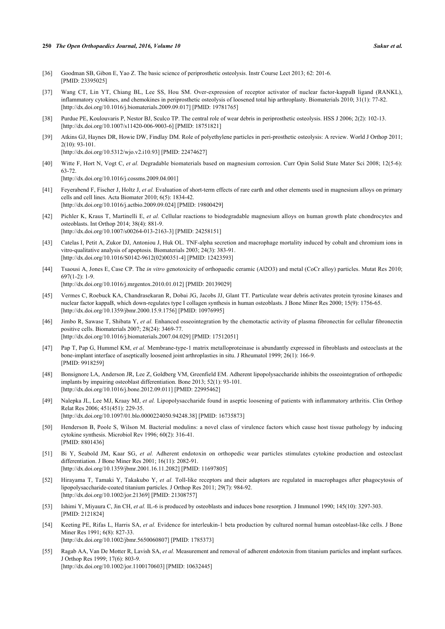### **250** *The Open Orthopaedics Journal, 2016, Volume 10 Sukur et al.*

- <span id="page-9-0"></span>[36] Goodman SB, Gibon E, Yao Z. The basic science of periprosthetic osteolysis. Instr Course Lect 2013; 62: 201-6. [PMID: [23395025\]](http://www.ncbi.nlm.nih.gov/pubmed/23395025)
- <span id="page-9-1"></span>[37] Wang CT, Lin YT, Chiang BL, Lee SS, Hou SM. Over-expression of receptor activator of nuclear factor-kappaB ligand (RANKL), inflammatory cytokines, and chemokines in periprosthetic osteolysis of loosened total hip arthroplasty. Biomaterials 2010; 31(1): 77-82. [\[http://dx.doi.org/10.1016/j.biomaterials.2009.09.017\]](http://dx.doi.org/10.1016/j.biomaterials.2009.09.017) [PMID: [19781765](http://www.ncbi.nlm.nih.gov/pubmed/19781765)]
- <span id="page-9-2"></span>[38] Purdue PE, Koulouvaris P, Nestor BJ, Sculco TP. The central role of wear debris in periprosthetic osteolysis. HSS J 2006; 2(2): 102-13. [\[http://dx.doi.org/10.1007/s11420-006-9003-6\]](http://dx.doi.org/10.1007/s11420-006-9003-6) [PMID: [18751821](http://www.ncbi.nlm.nih.gov/pubmed/18751821)]
- <span id="page-9-3"></span>[39] Atkins GJ, Haynes DR, Howie DW, Findlay DM. Role of polyethylene particles in peri-prosthetic osteolysis: A review. World J Orthop 2011; 2(10): 93-101. [\[http://dx.doi.org/10.5312/wjo.v2.i10.93](http://dx.doi.org/10.5312/wjo.v2.i10.93)] [PMID: [22474627\]](http://www.ncbi.nlm.nih.gov/pubmed/22474627)
- <span id="page-9-4"></span>[40] Witte F, Hort N, Vogt C, *et al.* Degradable biomaterials based on magnesium corrosion. Curr Opin Solid State Mater Sci 2008; 12(5-6): 63-72. [\[http://dx.doi.org/10.1016/j.cossms.2009.04.001](http://dx.doi.org/10.1016/j.cossms.2009.04.001)]
- <span id="page-9-5"></span>[41] Feyerabend F, Fischer J, Holtz J, *et al.* Evaluation of short-term effects of rare earth and other elements used in magnesium alloys on primary cells and cell lines. Acta Biomater 2010; 6(5): 1834-42. [\[http://dx.doi.org/10.1016/j.actbio.2009.09.024\]](http://dx.doi.org/10.1016/j.actbio.2009.09.024) [PMID: [19800429](http://www.ncbi.nlm.nih.gov/pubmed/19800429)]
- <span id="page-9-6"></span>[42] Pichler K, Kraus T, Martinelli E, *et al.* Cellular reactions to biodegradable magnesium alloys on human growth plate chondrocytes and osteoblasts. Int Orthop 2014; 38(4): 881-9. [\[http://dx.doi.org/10.1007/s00264-013-2163-3\]](http://dx.doi.org/10.1007/s00264-013-2163-3) [PMID: [24258151](http://www.ncbi.nlm.nih.gov/pubmed/24258151)]
- <span id="page-9-7"></span>[43] Catelas I, Petit A, Zukor DJ, Antoniou J, Huk OL. TNF-alpha secretion and macrophage mortality induced by cobalt and chromium ions in vitro-qualitative analysis of apoptosis. Biomaterials 2003; 24(3): 383-91. [\[http://dx.doi.org/10.1016/S0142-9612\(02\)00351-4\]](http://dx.doi.org/10.1016/S0142-9612(02)00351-4) [PMID: [12423593](http://www.ncbi.nlm.nih.gov/pubmed/12423593)]
- <span id="page-9-8"></span>[44] Tsaousi A, Jones E, Case CP. The *in vitro* genotoxicity of orthopaedic ceramic (Al2O3) and metal (CoCr alloy) particles. Mutat Res 2010; 697(1-2): 1-9. [\[http://dx.doi.org/10.1016/j.mrgentox.2010.01.012\]](http://dx.doi.org/10.1016/j.mrgentox.2010.01.012) [PMID: [20139029](http://www.ncbi.nlm.nih.gov/pubmed/20139029)]
- <span id="page-9-9"></span>[45] Vermes C, Roebuck KA, Chandrasekaran R, Dobai JG, Jacobs JJ, Glant TT. Particulate wear debris activates protein tyrosine kinases and nuclear factor kappaB, which down-regulates type I collagen synthesis in human osteoblasts. J Bone Miner Res 2000; 15(9): 1756-65. [\[http://dx.doi.org/10.1359/jbmr.2000.15.9.1756\]](http://dx.doi.org/10.1359/jbmr.2000.15.9.1756) [PMID: [10976995](http://www.ncbi.nlm.nih.gov/pubmed/10976995)]
- <span id="page-9-10"></span>[46] Jimbo R, Sawase T, Shibata Y, *et al.* Enhanced osseointegration by the chemotactic activity of plasma fibronectin for cellular fibronectin positive cells. Biomaterials 2007; 28(24): 3469-77. [\[http://dx.doi.org/10.1016/j.biomaterials.2007.04.029\]](http://dx.doi.org/10.1016/j.biomaterials.2007.04.029) [PMID: [17512051](http://www.ncbi.nlm.nih.gov/pubmed/17512051)]
- <span id="page-9-11"></span>[47] Pap T, Pap G, Hummel KM, *et al.* Membrane-type-1 matrix metalloproteinase is abundantly expressed in fibroblasts and osteoclasts at the bone-implant interface of aseptically loosened joint arthroplasties in situ. J Rheumatol 1999; 26(1): 166-9. [PMID: [9918259\]](http://www.ncbi.nlm.nih.gov/pubmed/9918259)
- <span id="page-9-12"></span>[48] Bonsignore LA, Anderson JR, Lee Z, Goldberg VM, Greenfield EM. Adherent lipopolysaccharide inhibits the osseointegration of orthopedic implants by impairing osteoblast differentiation. Bone 2013; 52(1): 93-101. [\[http://dx.doi.org/10.1016/j.bone.2012.09.011\]](http://dx.doi.org/10.1016/j.bone.2012.09.011) [PMID: [22995462](http://www.ncbi.nlm.nih.gov/pubmed/22995462)]
- <span id="page-9-13"></span>[49] Nalepka JL, Lee MJ, Kraay MJ, *et al.* Lipopolysaccharide found in aseptic loosening of patients with inflammatory arthritis. Clin Orthop Relat Res 2006; 451(451): 229-35. [\[http://dx.doi.org/10.1097/01.blo.0000224050.94248.38](http://dx.doi.org/10.1097/01.blo.0000224050.94248.38)] [PMID: [16735873\]](http://www.ncbi.nlm.nih.gov/pubmed/16735873)
- <span id="page-9-14"></span>[50] Henderson B, Poole S, Wilson M. Bacterial modulins: a novel class of virulence factors which cause host tissue pathology by inducing cytokine synthesis. Microbiol Rev 1996; 60(2): 316-41. [PMID: [8801436\]](http://www.ncbi.nlm.nih.gov/pubmed/8801436)
- <span id="page-9-15"></span>[51] Bi Y, Seabold JM, Kaar SG, *et al.* Adherent endotoxin on orthopedic wear particles stimulates cytokine production and osteoclast differentiation. J Bone Miner Res 2001; 16(11): 2082-91. [\[http://dx.doi.org/10.1359/jbmr.2001.16.11.2082\]](http://dx.doi.org/10.1359/jbmr.2001.16.11.2082) [PMID: [11697805](http://www.ncbi.nlm.nih.gov/pubmed/11697805)]
- <span id="page-9-16"></span>[52] Hirayama T, Tamaki Y, Takakubo Y, *et al.* Toll-like receptors and their adaptors are regulated in macrophages after phagocytosis of lipopolysaccharide-coated titanium particles. J Orthop Res 2011; 29(7): 984-92. [\[http://dx.doi.org/10.1002/jor.21369\]](http://dx.doi.org/10.1002/jor.21369) [PMID: [21308757](http://www.ncbi.nlm.nih.gov/pubmed/21308757)]
- <span id="page-9-17"></span>[53] Ishimi Y, Miyaura C, Jin CH, *et al.* IL-6 is produced by osteoblasts and induces bone resorption. J Immunol 1990; 145(10): 3297-303. [PMID: [2121824\]](http://www.ncbi.nlm.nih.gov/pubmed/2121824)
- <span id="page-9-18"></span>[54] Keeting PE, Rifas L, Harris SA, *et al.* Evidence for interleukin-1 beta production by cultured normal human osteoblast-like cells. J Bone Miner Res 1991; 6(8): 827-33. [\[http://dx.doi.org/10.1002/jbmr.5650060807\]](http://dx.doi.org/10.1002/jbmr.5650060807) [PMID: [1785373](http://www.ncbi.nlm.nih.gov/pubmed/1785373)]
- <span id="page-9-19"></span>[55] Ragab AA, Van De Motter R, Lavish SA, *et al.* Measurement and removal of adherent endotoxin from titanium particles and implant surfaces. J Orthop Res 1999; 17(6): 803-9. [\[http://dx.doi.org/10.1002/jor.1100170603\]](http://dx.doi.org/10.1002/jor.1100170603) [PMID: [10632445](http://www.ncbi.nlm.nih.gov/pubmed/10632445)]